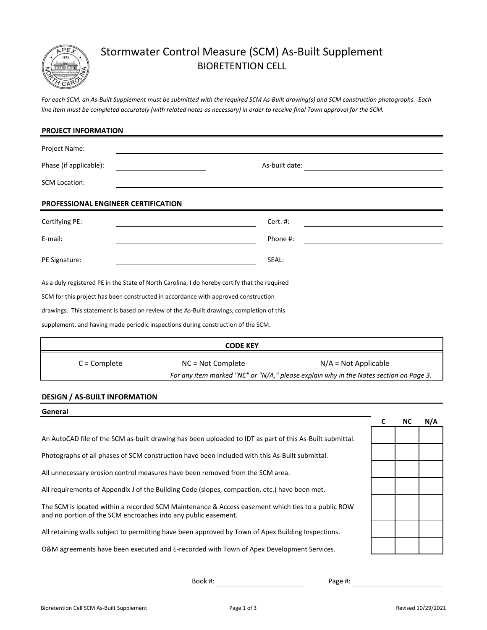

# Stormwater Control Measure (SCM) As-Built Supplement BIORETENTION CELL

*For each SCM, an As-Built Supplement must be submitted with the required SCM As-Built drawing(s) and SCM construction photographs. Each line item must be completed accurately (with related notes as necessary) in order to receive final Town approval for the SCM.*

| <b>PROJECT INFORMATION</b>                 |                                                                                                                                                                                                                                                                                                                                                                     |                                                                                                                 |  |
|--------------------------------------------|---------------------------------------------------------------------------------------------------------------------------------------------------------------------------------------------------------------------------------------------------------------------------------------------------------------------------------------------------------------------|-----------------------------------------------------------------------------------------------------------------|--|
| Project Name:                              |                                                                                                                                                                                                                                                                                                                                                                     |                                                                                                                 |  |
| Phase (if applicable):                     | As-built date:                                                                                                                                                                                                                                                                                                                                                      |                                                                                                                 |  |
| <b>SCM Location:</b>                       |                                                                                                                                                                                                                                                                                                                                                                     |                                                                                                                 |  |
| <b>PROFESSIONAL ENGINEER CERTIFICATION</b> |                                                                                                                                                                                                                                                                                                                                                                     |                                                                                                                 |  |
| Certifying PE:                             | Cert. #:                                                                                                                                                                                                                                                                                                                                                            |                                                                                                                 |  |
| E-mail:                                    | Phone #:                                                                                                                                                                                                                                                                                                                                                            |                                                                                                                 |  |
| PE Signature:                              | SEAL:                                                                                                                                                                                                                                                                                                                                                               |                                                                                                                 |  |
|                                            | As a duly registered PE in the State of North Carolina, I do hereby certify that the required<br>SCM for this project has been constructed in accordance with approved construction<br>drawings. This statement is based on review of the As-Built drawings, completion of this<br>supplement, and having made periodic inspections during construction of the SCM. |                                                                                                                 |  |
|                                            | <b>CODE KEY</b>                                                                                                                                                                                                                                                                                                                                                     |                                                                                                                 |  |
| $C =$ Complete                             | NC = Not Complete                                                                                                                                                                                                                                                                                                                                                   | $N/A = Not Applicable$<br>For any item marked "NC" or "N/A," please explain why in the Notes section on Page 3. |  |
| <b>DESIGN / AS-BUILT INFORMATION</b>       |                                                                                                                                                                                                                                                                                                                                                                     |                                                                                                                 |  |
| General                                    |                                                                                                                                                                                                                                                                                                                                                                     | C<br><b>NC</b><br>N/A                                                                                           |  |

An AutoCAD file of the SCM as-built drawing has been uploaded to IDT as part of this As-Built submittal.

Photographs of all phases of SCM construction have been included with this As-Built submittal.

All unnecessary erosion control measures have been removed from the SCM area.

All requirements of Appendix J of the Building Code (slopes, compaction, etc.) have been met.

The SCM is located within a recorded SCM Maintenance & Access easement which ties to a public ROW and no portion of the SCM encroaches into any public easement.

All retaining walls subject to permitting have been approved by Town of Apex Building Inspections.

O&M agreements have been executed and E-recorded with Town of Apex Development Services.

Book #:

Page #: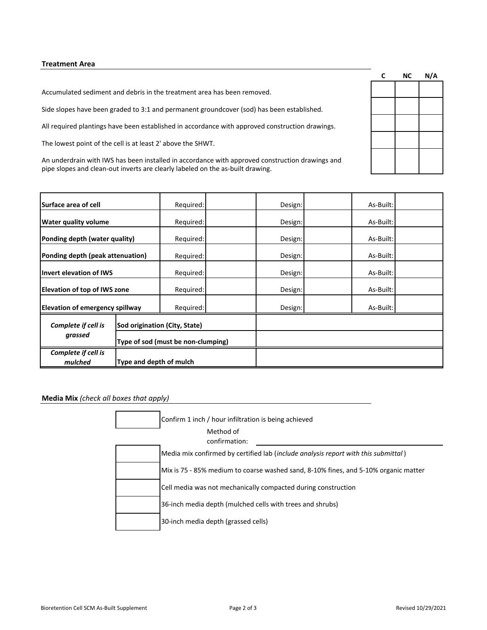#### **Treatment Area**

Accumulated sediment and debris in the treatment area has been removed.

Side slopes have been graded to 3:1 and permanent groundcover (sod) has been established.

All required plantings have been established in accordance with approved construction drawings.

The lowest point of the cell is at least 2' above the SHWT.

An underdrain with IWS has been installed in accordance with approved construction drawings and pipe slopes and clean-out inverts are clearly labeled on the as-built drawing.

| <b>Surface area of cell</b>              |                                    | Required: |           | Design: | As-Built: |  |
|------------------------------------------|------------------------------------|-----------|-----------|---------|-----------|--|
| <b>Water quality volume</b><br>Required: |                                    | Design:   | As-Built: |         |           |  |
| Ponding depth (water quality)            |                                    | Required: |           | Design: | As-Built: |  |
| Ponding depth (peak attenuation)         |                                    | Required: |           | Design: | As-Built: |  |
| <b>Invert elevation of IWS</b>           |                                    | Required: |           | Design: | As-Built: |  |
| <b>Elevation of top of IWS zone</b>      |                                    | Required: |           | Design: | As-Built: |  |
| <b>Elevation of emergency spillway</b>   |                                    | Required: |           | Design: | As-Built: |  |
| Complete if cell is                      | Sod origination (City, State)      |           |           |         |           |  |
| grassed                                  | Type of sod (must be non-clumping) |           |           |         |           |  |
| Complete if cell is<br>mulched           | Type and depth of mulch            |           |           |         |           |  |

#### **Media Mix** *(check all boxes that apply)*

| Confirm 1 inch / hour infiltration is being achieved                                |
|-------------------------------------------------------------------------------------|
| Method of<br>confirmation:                                                          |
| Media mix confirmed by certified lab (include analysis report with this submittal)  |
| Mix is 75 - 85% medium to coarse washed sand, 8-10% fines, and 5-10% organic matter |
| Cell media was not mechanically compacted during construction                       |
| 36-inch media depth (mulched cells with trees and shrubs)                           |
| 30-inch media depth (grassed cells)                                                 |

| C | ΝC | N/A |
|---|----|-----|
|   |    |     |
|   |    |     |
|   |    |     |
|   |    |     |
|   |    |     |
|   |    |     |